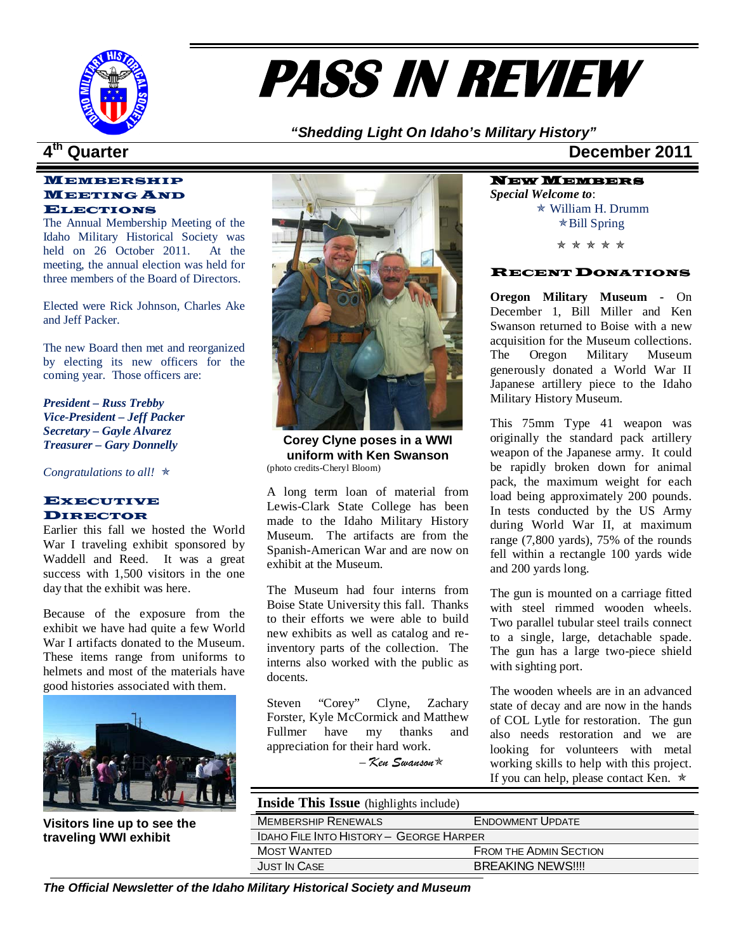

# **PASS IN REVIEW**

*"Shedding Light On Idaho's Military History"*

## MEMBERSHIP MEETING AND ELECTIONS

The Annual Membership Meeting of the Idaho Military Historical Society was held on 26 October 2011. At the meeting, the annual election was held for three members of the Board of Directors.

Elected were Rick Johnson, Charles Ake and Jeff Packer.

The new Board then met and reorganized by electing its new officers for the coming year. Those officers are:

*President – Russ Trebby Vice-President – Jeff Packer Secretary – Gayle Alvarez Treasurer – Gary Donnelly*

*Congratulations to all!* 

### **EXECUTIVE** DIRECTOR

Earlier this fall we hosted the World War I traveling exhibit sponsored by Waddell and Reed. It was a great success with 1,500 visitors in the one day that the exhibit was here.

Because of the exposure from the exhibit we have had quite a few World War I artifacts donated to the Museum. These items range from uniforms to helmets and most of the materials have good histories associated with them.



**Visitors line up to see the traveling WWI exhibit**



**Corey Clyne poses in a WWI uniform with Ken Swanson** (photo credits-Cheryl Bloom)

A long term loan of material from Lewis-Clark State College has been made to the Idaho Military History Museum. The artifacts are from the Spanish-American War and are now on exhibit at the Museum.

The Museum had four interns from Boise State University this fall. Thanks to their efforts we were able to build new exhibits as well as catalog and reinventory parts of the collection. The interns also worked with the public as docents.

Steven "Corey" Clyne, Zachary Forster, Kyle McCormick and Matthew Fullmer have my thanks and appreciation for their hard work.

– *Ken Swanson*

## **4th Quarter December 2011**

NEW MEMBERS *Special Welcome to*: William H. Drumm  $\star$ Bill Spring

\* \* \* \* \*

### RECENT DONATIONS

**Oregon Military Museum -** On December 1, Bill Miller and Ken Swanson returned to Boise with a new acquisition for the Museum collections.<br>The Oregon Military Museum Oregon Military Museum generously donated a World War II Japanese artillery piece to the Idaho Military History Museum.

This 75mm Type 41 weapon was originally the standard pack artillery weapon of the Japanese army. It could be rapidly broken down for animal pack, the maximum weight for each load being approximately 200 pounds. In tests conducted by the US Army during World War II, at maximum range (7,800 yards), 75% of the rounds fell within a rectangle 100 yards wide and 200 yards long.

The gun is mounted on a carriage fitted with steel rimmed wooden wheels. Two parallel tubular steel trails connect to a single, large, detachable spade. The gun has a large two-piece shield with sighting port.

The wooden wheels are in an advanced state of decay and are now in the hands of COL Lytle for restoration. The gun also needs restoration and we are looking for volunteers with metal working skills to help with this project. If you can help, please contact Ken.  $\star$ 

**Inside This Issue** (highlights include)

| <b>MEMBERSHIP RENEWALS</b>              | <b>ENDOWMENT UPDATE</b>       |  |
|-----------------------------------------|-------------------------------|--|
| IDAHO FILE INTO HISTORY – GEORGE HARPER |                               |  |
| <b>MOST WANTED</b>                      | <b>FROM THE ADMIN SECTION</b> |  |
| <b>JUST IN CASE</b>                     | <b>BREAKING NEWS!!!!</b>      |  |

*The Official Newsletter of the Idaho Military Historical Society and Museum*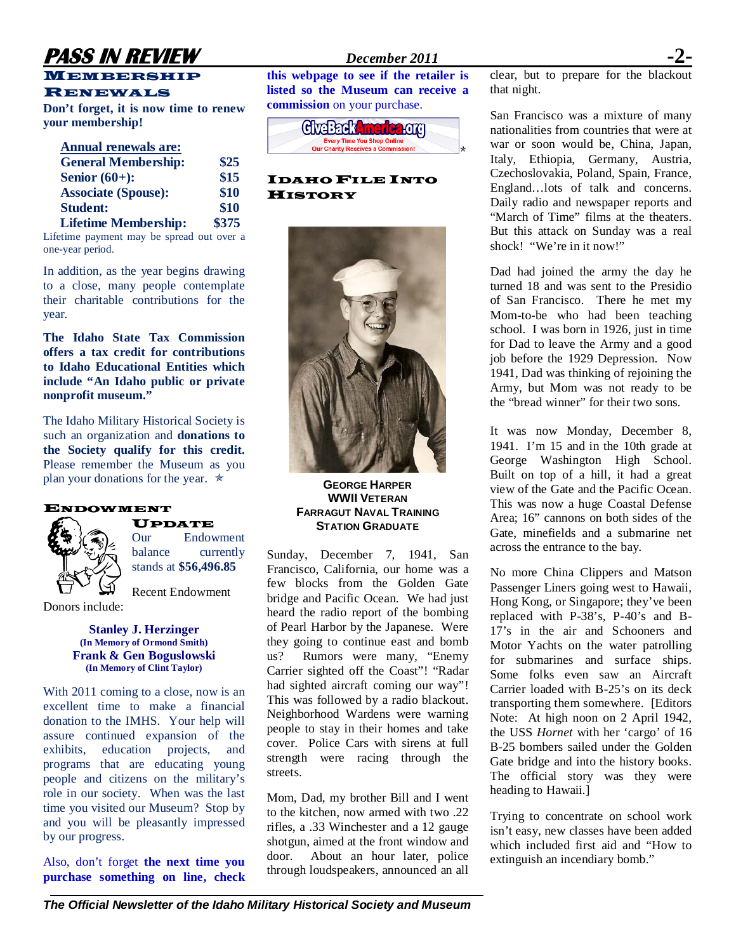## **PASS IN REVIEW** *December 2011*

## **MEMBERSHIP**

## RENEWALS

**Don't forget, it is now time to renew your membership!** 

| <b>Annual renewals are:</b>             |       |
|-----------------------------------------|-------|
| <b>General Membership:</b>              | \$25  |
| Senior $(60+)$ :                        | \$15  |
| <b>Associate (Spouse):</b>              | \$10  |
| <b>Student:</b>                         | \$10  |
| <b>Lifetime Membership:</b>             | \$375 |
| Lifetime normant may be enread out over |       |

Lifetime payment may be spread out over a one-year period.

In addition, as the year begins drawing to a close, many people contemplate their charitable contributions for the year.

**The Idaho State Tax Commission offers a tax credit for contributions to Idaho Educational Entities which include "An Idaho public or private nonprofit museum."** 

The Idaho Military Historical Society is such an organization and **donations to the Society qualify for this credit.**  Please remember the Museum as you plan your donations for the year.  $\star$ 



## UPDATE

Our Endowment balance currently stands at **\$56,496.85**

Recent Endowment

Donors include:

### **Stanley J. Herzinger (In Memory of Ormond Smith) Frank & Gen Boguslowski (In Memory of Clint Taylor)**

With 2011 coming to a close, now is an excellent time to make a financial donation to the IMHS. Your help will assure continued expansion of the exhibits, education projects, and programs that are educating young people and citizens on the military's role in our society. When was the last time you visited our Museum? Stop by and you will be pleasantly impressed by our progress.

Also, don't forget **the next time you purchase something on line, check** 

**this webpage to see if the retailer is listed so the Museum can receive a commission** on your purchase.



## IDAHO FILE INTO **HISTORY**



**GEORGE HARPER WWII VETERAN FARRAGUT NAVAL TRAINING STATION GRADUATE**

Sunday, December 7, 1941, San Francisco, California, our home was a few blocks from the Golden Gate bridge and Pacific Ocean. We had just heard the radio report of the bombing of Pearl Harbor by the Japanese. Were they going to continue east and bomb us? Rumors were many, "Enemy Carrier sighted off the Coast"! "Radar had sighted aircraft coming our way"! This was followed by a radio blackout. Neighborhood Wardens were warning people to stay in their homes and take cover. Police Cars with sirens at full strength were racing through the streets.

Mom, Dad, my brother Bill and I went to the kitchen, now armed with two .22 rifles, a .33 Winchester and a 12 gauge shotgun, aimed at the front window and door. About an hour later, police through loudspeakers, announced an all

clear, but to prepare for the blackout that night.

San Francisco was a mixture of many nationalities from countries that were at war or soon would be, China, Japan, Italy, Ethiopia, Germany, Austria, Czechoslovakia, Poland, Spain, France, England…lots of talk and concerns. Daily radio and newspaper reports and "March of Time" films at the theaters. But this attack on Sunday was a real shock! "We're in it now!"

Dad had joined the army the day he turned 18 and was sent to the Presidio of San Francisco. There he met my Mom-to-be who had been teaching school. I was born in 1926, just in time for Dad to leave the Army and a good job before the 1929 Depression. Now 1941, Dad was thinking of rejoining the Army, but Mom was not ready to be the "bread winner" for their two sons.

It was now Monday, December 8, 1941. I'm 15 and in the 10th grade at George Washington High School. Built on top of a hill, it had a great view of the Gate and the Pacific Ocean. This was now a huge Coastal Defense Area; 16" cannons on both sides of the Gate, minefields and a submarine net across the entrance to the bay.

No more China Clippers and Matson Passenger Liners going west to Hawaii, Hong Kong, or Singapore; they've been replaced with P-38's, P-40's and B-17's in the air and Schooners and Motor Yachts on the water patrolling for submarines and surface ships. Some folks even saw an Aircraft Carrier loaded with B-25's on its deck transporting them somewhere. [Editors Note: At high noon on 2 April 1942, the USS *Hornet* with her 'cargo' of 16 B-25 bombers sailed under the Golden Gate bridge and into the history books. The official story was they were heading to Hawaii.]

Trying to concentrate on school work isn't easy, new classes have been added which included first aid and "How to extinguish an incendiary bomb."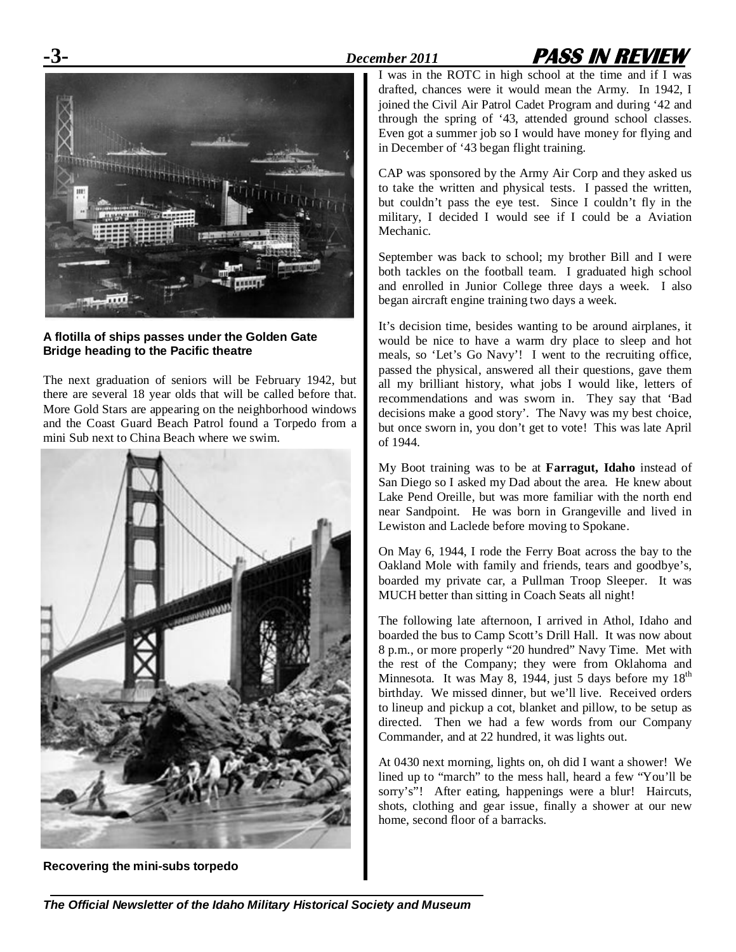## **-3-** *December 2011* **PASS IN REVIEW**



## **A flotilla of ships passes under the Golden Gate Bridge heading to the Pacific theatre**

The next graduation of seniors will be February 1942, but there are several 18 year olds that will be called before that. More Gold Stars are appearing on the neighborhood windows and the Coast Guard Beach Patrol found a Torpedo from a mini Sub next to China Beach where we swim.



**Recovering the mini-subs torpedo**

I was in the ROTC in high school at the time and if I was drafted, chances were it would mean the Army. In 1942, I joined the Civil Air Patrol Cadet Program and during '42 and through the spring of '43, attended ground school classes. Even got a summer job so I would have money for flying and in December of '43 began flight training.

CAP was sponsored by the Army Air Corp and they asked us to take the written and physical tests. I passed the written, but couldn't pass the eye test. Since I couldn't fly in the military, I decided I would see if I could be a Aviation Mechanic.

September was back to school; my brother Bill and I were both tackles on the football team. I graduated high school and enrolled in Junior College three days a week. I also began aircraft engine training two days a week.

It's decision time, besides wanting to be around airplanes, it would be nice to have a warm dry place to sleep and hot meals, so 'Let's Go Navy'! I went to the recruiting office, passed the physical, answered all their questions, gave them all my brilliant history, what jobs I would like, letters of recommendations and was sworn in. They say that 'Bad decisions make a good story'. The Navy was my best choice, but once sworn in, you don't get to vote! This was late April of 1944.

My Boot training was to be at **Farragut, Idaho** instead of San Diego so I asked my Dad about the area. He knew about Lake Pend Oreille, but was more familiar with the north end near Sandpoint. He was born in Grangeville and lived in Lewiston and Laclede before moving to Spokane.

On May 6, 1944, I rode the Ferry Boat across the bay to the Oakland Mole with family and friends, tears and goodbye's, boarded my private car, a Pullman Troop Sleeper. It was MUCH better than sitting in Coach Seats all night!

The following late afternoon, I arrived in Athol, Idaho and boarded the bus to Camp Scott's Drill Hall. It was now about 8 p.m., or more properly "20 hundred" Navy Time. Met with the rest of the Company; they were from Oklahoma and Minnesota. It was May 8, 1944, just 5 days before my  $18<sup>th</sup>$ birthday. We missed dinner, but we'll live. Received orders to lineup and pickup a cot, blanket and pillow, to be setup as directed. Then we had a few words from our Company Commander, and at 22 hundred, it was lights out.

At 0430 next morning, lights on, oh did I want a shower! We lined up to "march" to the mess hall, heard a few "You'll be sorry's"! After eating, happenings were a blur! Haircuts, shots, clothing and gear issue, finally a shower at our new home, second floor of a barracks.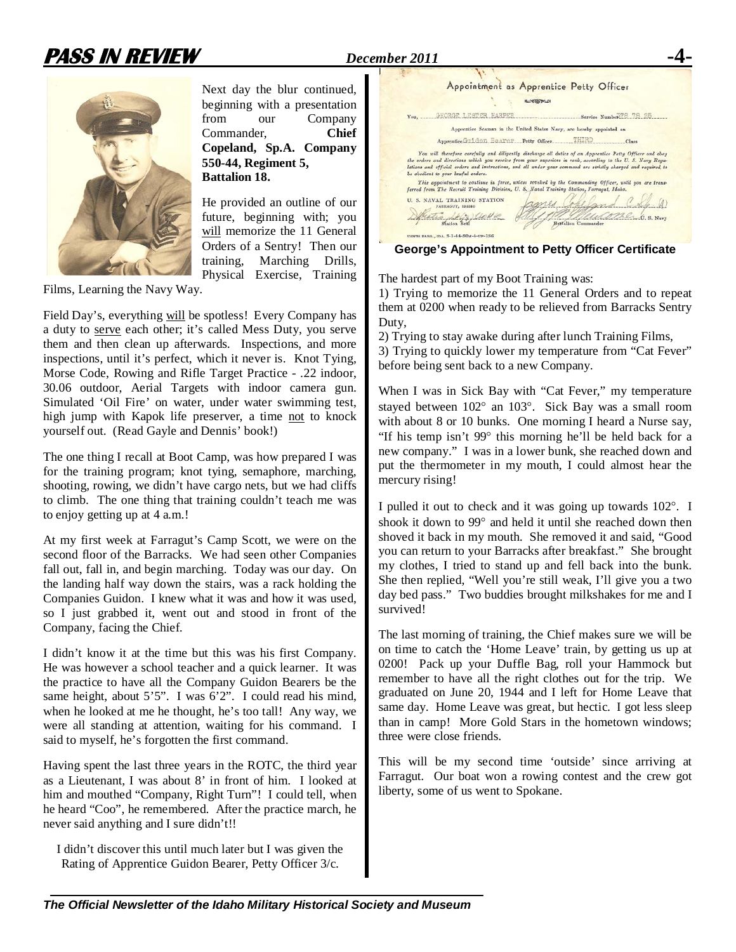

Next day the blur continued, beginning with a presentation from our Company Commander, **Chief Copeland, Sp.A. Company 550-44, Regiment 5, Battalion 18.**

He provided an outline of our future, beginning with; you will memorize the 11 General Orders of a Sentry! Then our training, Marching Drills, Physical Exercise, Training

Films, Learning the Navy Way.

Field Day's, everything will be spotless! Every Company has a duty to serve each other; it's called Mess Duty, you serve them and then clean up afterwards. Inspections, and more inspections, until it's perfect, which it never is. Knot Tying, Morse Code, Rowing and Rifle Target Practice - .22 indoor, 30.06 outdoor, Aerial Targets with indoor camera gun. Simulated 'Oil Fire' on water, under water swimming test, high jump with Kapok life preserver, a time not to knock yourself out. (Read Gayle and Dennis' book!)

The one thing I recall at Boot Camp, was how prepared I was for the training program; knot tying, semaphore, marching, shooting, rowing, we didn't have cargo nets, but we had cliffs to climb. The one thing that training couldn't teach me was to enjoy getting up at 4 a.m.!

At my first week at Farragut's Camp Scott, we were on the second floor of the Barracks. We had seen other Companies fall out, fall in, and begin marching. Today was our day. On the landing half way down the stairs, was a rack holding the Companies Guidon. I knew what it was and how it was used, so I just grabbed it, went out and stood in front of the Company, facing the Chief.

I didn't know it at the time but this was his first Company. He was however a school teacher and a quick learner. It was the practice to have all the Company Guidon Bearers be the same height, about 5'5". I was 6'2". I could read his mind, when he looked at me he thought, he's too tall! Any way, we were all standing at attention, waiting for his command. I said to myself, he's forgotten the first command.

Having spent the last three years in the ROTC, the third year as a Lieutenant, I was about 8' in front of him. I looked at him and mouthed "Company, Right Turn"! I could tell, when he heard "Coo", he remembered. After the practice march, he never said anything and I sure didn't!!

I didn't discover this until much later but I was given the Rating of Apprentice Guidon Bearer, Petty Officer 3/c.



**George's Appointment to Petty Officer Certificate**

The hardest part of my Boot Training was:

1) Trying to memorize the 11 General Orders and to repeat them at 0200 when ready to be relieved from Barracks Sentry Duty,

2) Trying to stay awake during after lunch Training Films, 3) Trying to quickly lower my temperature from "Cat Fever" before being sent back to a new Company.

When I was in Sick Bay with "Cat Fever," my temperature stayed between 102° an 103°. Sick Bay was a small room with about 8 or 10 bunks. One morning I heard a Nurse say, "If his temp isn't 99° this morning he'll be held back for a new company." I was in a lower bunk, she reached down and put the thermometer in my mouth, I could almost hear the mercury rising!

I pulled it out to check and it was going up towards 102°. I shook it down to 99° and held it until she reached down then shoved it back in my mouth. She removed it and said, "Good you can return to your Barracks after breakfast." She brought my clothes, I tried to stand up and fell back into the bunk. She then replied, "Well you're still weak, I'll give you a two day bed pass." Two buddies brought milkshakes for me and I survived!

The last morning of training, the Chief makes sure we will be on time to catch the 'Home Leave' train, by getting us up at 0200! Pack up your Duffle Bag, roll your Hammock but remember to have all the right clothes out for the trip. We graduated on June 20, 1944 and I left for Home Leave that same day. Home Leave was great, but hectic. I got less sleep than in camp! More Gold Stars in the hometown windows; three were close friends.

This will be my second time 'outside' since arriving at Farragut. Our boat won a rowing contest and the crew got liberty, some of us went to Spokane.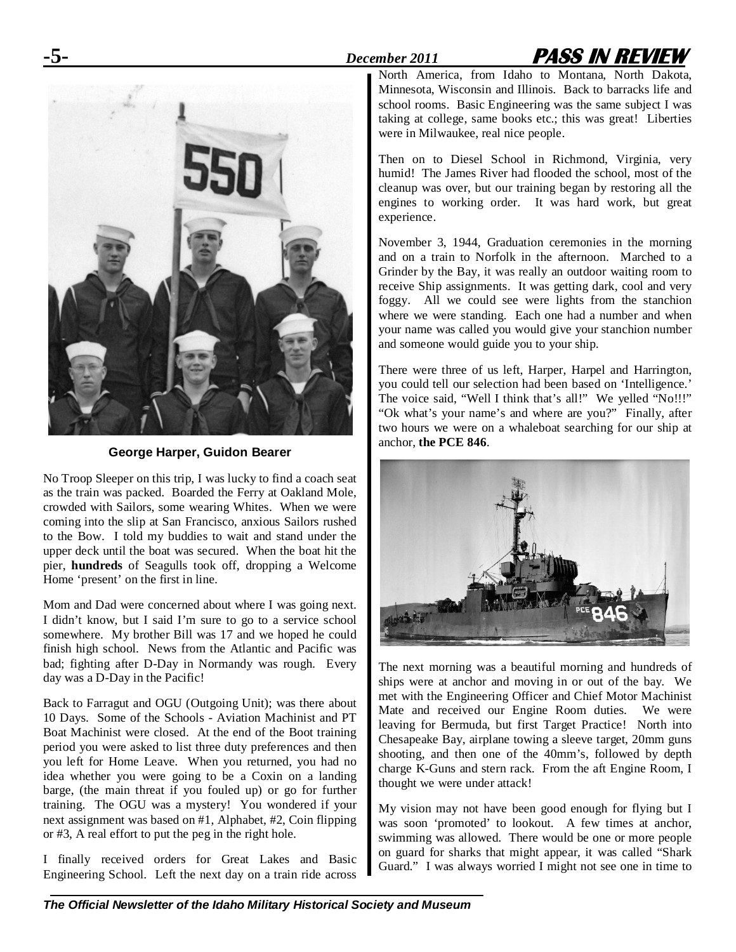



**George Harper, Guidon Bearer**

No Troop Sleeper on this trip, I was lucky to find a coach seat as the train was packed. Boarded the Ferry at Oakland Mole, crowded with Sailors, some wearing Whites. When we were coming into the slip at San Francisco, anxious Sailors rushed to the Bow. I told my buddies to wait and stand under the upper deck until the boat was secured. When the boat hit the pier, **hundreds** of Seagulls took off, dropping a Welcome Home 'present' on the first in line.

Mom and Dad were concerned about where I was going next. I didn't know, but I said I'm sure to go to a service school somewhere. My brother Bill was 17 and we hoped he could finish high school. News from the Atlantic and Pacific was bad; fighting after D-Day in Normandy was rough. Every day was a D-Day in the Pacific!

Back to Farragut and OGU (Outgoing Unit); was there about 10 Days. Some of the Schools - Aviation Machinist and PT Boat Machinist were closed. At the end of the Boot training period you were asked to list three duty preferences and then you left for Home Leave. When you returned, you had no idea whether you were going to be a Coxin on a landing barge, (the main threat if you fouled up) or go for further training. The OGU was a mystery! You wondered if your next assignment was based on #1, Alphabet, #2, Coin flipping or #3, A real effort to put the peg in the right hole.

I finally received orders for Great Lakes and Basic Engineering School. Left the next day on a train ride across North America, from Idaho to Montana, North Dakota, Minnesota, Wisconsin and Illinois. Back to barracks life and school rooms. Basic Engineering was the same subject I was taking at college, same books etc.; this was great! Liberties were in Milwaukee, real nice people.

Then on to Diesel School in Richmond, Virginia, very humid! The James River had flooded the school, most of the cleanup was over, but our training began by restoring all the engines to working order. It was hard work, but great experience.

November 3, 1944, Graduation ceremonies in the morning and on a train to Norfolk in the afternoon. Marched to a Grinder by the Bay, it was really an outdoor waiting room to receive Ship assignments. It was getting dark, cool and very foggy. All we could see were lights from the stanchion where we were standing. Each one had a number and when your name was called you would give your stanchion number and someone would guide you to your ship.

There were three of us left, Harper, Harpel and Harrington, you could tell our selection had been based on 'Intelligence.' The voice said, "Well I think that's all!" We yelled "No!!!" "Ok what's your name's and where are you?" Finally, after two hours we were on a whaleboat searching for our ship at anchor, **the PCE 846**.



The next morning was a beautiful morning and hundreds of ships were at anchor and moving in or out of the bay. We met with the Engineering Officer and Chief Motor Machinist Mate and received our Engine Room duties. We were leaving for Bermuda, but first Target Practice! North into Chesapeake Bay, airplane towing a sleeve target, 20mm guns shooting, and then one of the 40mm's, followed by depth charge K-Guns and stern rack. From the aft Engine Room, I thought we were under attack!

My vision may not have been good enough for flying but I was soon 'promoted' to lookout. A few times at anchor, swimming was allowed. There would be one or more people on guard for sharks that might appear, it was called "Shark Guard." I was always worried I might not see one in time to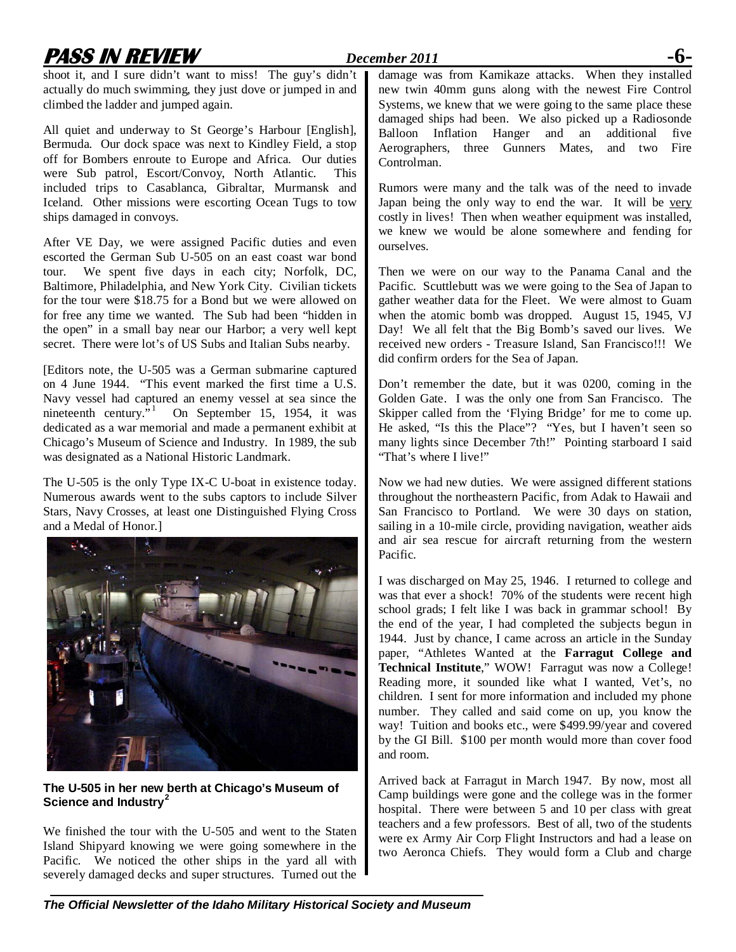## **PASS IN REVIEW** *December 2011* **-6-**

shoot it, and I sure didn't want to miss! The guy's didn't actually do much swimming, they just dove or jumped in and climbed the ladder and jumped again.

All quiet and underway to St George's Harbour [English], Bermuda. Our dock space was next to Kindley Field, a stop off for Bombers enroute to Europe and Africa. Our duties were Sub patrol, Escort/Convoy, North Atlantic. This included trips to Casablanca, Gibraltar, Murmansk and Iceland. Other missions were escorting Ocean Tugs to tow ships damaged in convoys.

After VE Day, we were assigned Pacific duties and even escorted the German Sub U-505 on an east coast war bond tour. We spent five days in each city; Norfolk, DC, Baltimore, Philadelphia, and New York City. Civilian tickets for the tour were \$18.75 for a Bond but we were allowed on for free any time we wanted. The Sub had been "hidden in the open" in a small bay near our Harbor; a very well kept secret. There were lot's of US Subs and Italian Subs nearby.

[Editors note, the U-505 was a German submarine captured on 4 June 1944. "This event marked the first time a U.S. Navy vessel had captured an enemy vessel at sea since the nineteenth century.<sup>5[1](#page--1-0)</sup> On September 15, 1954, it was dedicated as a war memorial and made a permanent exhibit at Chicago's Museum of Science and Industry. In 1989, the sub was designated as a National Historic Landmark.

The U-505 is the only Type IX-C U-boat in existence today. Numerous awards went to the subs captors to include Silver Stars, Navy Crosses, at least one Distinguished Flying Cross and a Medal of Honor.]



**The U-505 in her new berth at Chicago's Museum of Science and Industry[2](#page--1-1)**

We finished the tour with the U-505 and went to the Staten Island Shipyard knowing we were going somewhere in the Pacific. We noticed the other ships in the yard all with severely damaged decks and super structures. Turned out the damage was from Kamikaze attacks. When they installed new twin 40mm guns along with the newest Fire Control Systems, we knew that we were going to the same place these damaged ships had been. We also picked up a Radiosonde Balloon Inflation Hanger and an additional five Aerographers, three Gunners Mates, and two Fire Controlman.

Rumors were many and the talk was of the need to invade Japan being the only way to end the war. It will be very costly in lives! Then when weather equipment was installed, we knew we would be alone somewhere and fending for ourselves.

Then we were on our way to the Panama Canal and the Pacific. Scuttlebutt was we were going to the Sea of Japan to gather weather data for the Fleet. We were almost to Guam when the atomic bomb was dropped. August 15, 1945, VJ Day! We all felt that the Big Bomb's saved our lives. We received new orders - Treasure Island, San Francisco!!! We did confirm orders for the Sea of Japan.

Don't remember the date, but it was 0200, coming in the Golden Gate. I was the only one from San Francisco. The Skipper called from the 'Flying Bridge' for me to come up. He asked, "Is this the Place"? "Yes, but I haven't seen so many lights since December 7th!" Pointing starboard I said "That's where I live!"

Now we had new duties. We were assigned different stations throughout the northeastern Pacific, from Adak to Hawaii and San Francisco to Portland. We were 30 days on station, sailing in a 10-mile circle, providing navigation, weather aids and air sea rescue for aircraft returning from the western Pacific.

I was discharged on May 25, 1946. I returned to college and was that ever a shock! 70% of the students were recent high school grads; I felt like I was back in grammar school! By the end of the year, I had completed the subjects begun in 1944. Just by chance, I came across an article in the Sunday paper, "Athletes Wanted at the **Farragut College and Technical Institute**," WOW! Farragut was now a College! Reading more, it sounded like what I wanted, Vet's, no children. I sent for more information and included my phone number. They called and said come on up, you know the way! Tuition and books etc., were \$499.99/year and covered by the GI Bill. \$100 per month would more than cover food and room.

Arrived back at Farragut in March 1947. By now, most all Camp buildings were gone and the college was in the former hospital. There were between 5 and 10 per class with great teachers and a few professors. Best of all, two of the students were ex Army Air Corp Flight Instructors and had a lease on two Aeronca Chiefs. They would form a Club and charge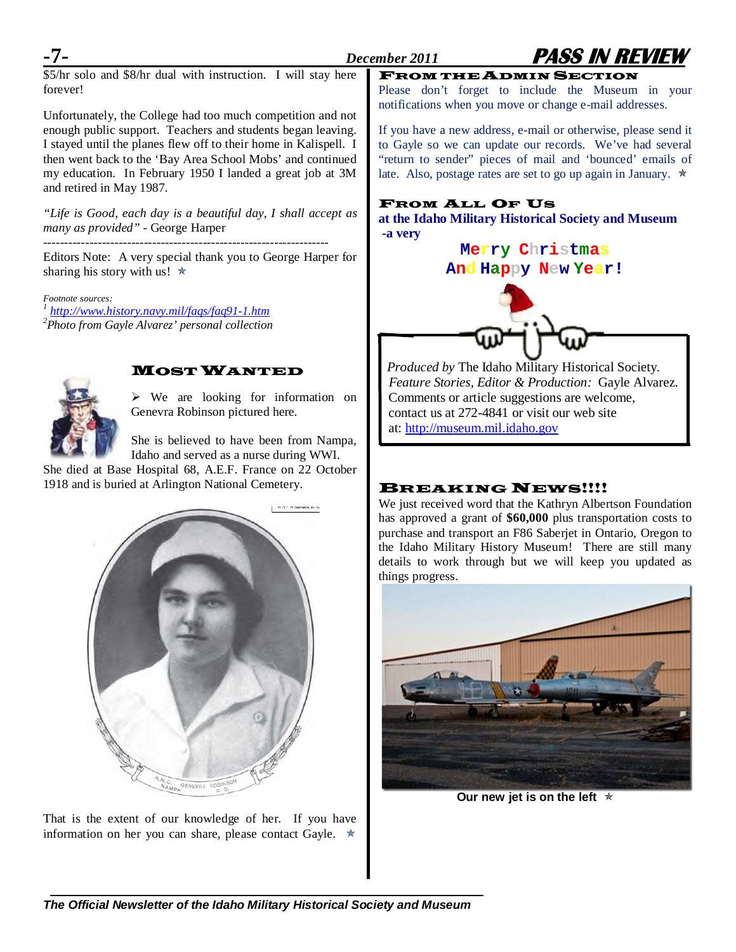

\$5/hr solo and \$8/hr dual with instruction. I will stay here forever!

Unfortunately, the College had too much competition and not enough public support. Teachers and students began leaving. I stayed until the planes flew off to their home in Kalispell. I then went back to the 'Bay Area School Mobs' and continued my education. In February 1950 I landed a great job at 3M and retired in May 1987.

*"Life is Good, each day is a beautiful day, I shall accept as many as provided" -* George Harper

--------------------------------------------------------------------

Editors Note: A very special thank you to George Harper for sharing his story with us!  $\star$ 

*Footnote sources: <sup>1</sup> <http://www.history.navy.mil/faqs/faq91-1.htm> <sup>2</sup> Photo from Gayle Alvarez' personal collection*



## MOST WANTED

 We are looking for information on Genevra Robinson pictured here.

She is believed to have been from Nampa, Idaho and served as a nurse during WWI.

She died at Base Hospital 68, A.E.F. France on 22 October 1918 and is buried at Arlington National Cemetery.



That is the extent of our knowledge of her. If you have information on her you can share, please contact Gayle.  $\star$ 

FROM THE ADMIN SECTION Please don't forget to include the Museum in your notifications when you move or change e-mail addresses.

If you have a new address, e-mail or otherwise, please send it to Gayle so we can update our records. We've had several "return to sender" pieces of mail and 'bounced' emails of late. Also, postage rates are set to go up again in January.  $\star$ 

## FROM ALL OF US

**at the Idaho Military Historical Society and Museum -a very**

## **Merry Christmas**

## **And Happy New Year!**



 *Produced by* The Idaho Military Historical Society.  *Feature Stories, Editor & Production:* Gayle Alvarez. Comments or article suggestions are welcome, contact us at 272-4841 or visit our web site at: [http://museum.mil.idaho.gov](http://museum.mil.idaho.gov/)

## **BREAKING NEWS!!!!**

We just received word that the Kathryn Albertson Foundation has approved a grant of **\$60,000** plus transportation costs to purchase and transport an F86 Saberjet in Ontario, Oregon to the Idaho Military History Museum! There are still many details to work through but we will keep you updated as things progress.



**Our new jet is on the left** 



## *The Official Newsletter of the Idaho Military Historical Society and Museum*